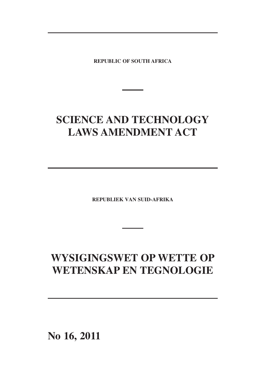**REPUBLIC OF SOUTH AFRICA**

# **SCIENCE AND TECHNOLOGY LAWS AMENDMENT ACT**

**REPUBLIEK VAN SUID-AFRIKA**

# **WYSIGINGSWET OP WETTE OP WETENSKAP EN TEGNOLOGIE**

**No 16, 2011**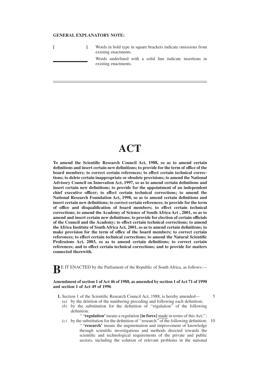## **GENERAL EXPLANATORY NOTE:**

|  | Words in bold type in square brackets indicate omissions from<br>existing enactments. |
|--|---------------------------------------------------------------------------------------|
|  | Words underlined with a solid line indicate insertions in<br>existing enactments.     |

## **ACT**

**To amend the Scientific Research Council Act, 1988, so as to amend certain definitions and insert certain new definitions; to provide for the term of office of the board members; to correct certain references; to effect certain technical corrections; to delete certain inappropriate or obsolete provisions; to amend the National Advisory Council on Innovation Act, 1997, so as to amend certain definitions and insert certain new definitions; to provide for the appointment of an independent chief executive officer; to effect certain technical corrections; to amend the National Research Foundation Act, 1998, so as to amend certain definitions and insert certain new definitions; to correct certain references; to provide for the term of office and disqualification of board members; to effect certain technical corrections; to amend the Academy of Science of South Africa Act , 2001, so as to amend and insert certain new definitions; to provide for election of certain officials of the Council and the Academy; to effect certain technical corrections; to amend the Africa Institute of South Africa Act, 2001, so as to amend certain definitions; to make provision for the term of office of the board members; to correct certain references; to effect certain technical corrections; to amend the Natural Scientific Professions Act, 2003, so as to amend certain definitions; to correct certain references; and to effect certain technical corrections; and to provide for matters connected therewith.**

**BE IT ENACTED** by the Parliament of the Republic of South Africa, as follows:—

#### **Amendment ofsection 1 ofAct 46 of 1988, as amended by section 1 ofAct 71 of 1990 and section 1 of Act 49 of 1996**

**1.** Section 1 of the Scientific Research Council Act, 1988, is hereby amended— *(a)* by the deletion of the numbering preceding and following each definition;

*(b)* by the substitution for the definition of ''regulation'' of the following definition:

'' **'regulation'**means a regulation **[in force]** made in terms of this Act;'';

*(c)* by the substitution for the definition of ''research'' of the following definition: '' **'research'** means the augmentation and improvement of knowledge through scientific investigations and methods directed towards the scientific and technological requirements of the private and public sectors, including the solution of relevant problems in the national

5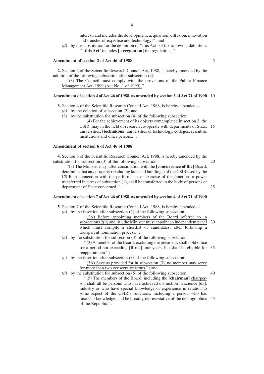interest, and includes the development, acquisition, diffusion, innovation and transfer of expertise and technology;''; and

*(d)* by the substitution for the definition of ''this Act'' of the following definition: '' **'this Act'** includes **[a regulation]** the regulations.''.

#### **Amendment of section 2 of Act 46 of 1988**

**2.** Section 2 of the Scientific Research Council Act, 1988, is hereby amended by the addition of the following subsection after subsection (2):

''(3) The Council must comply with the provisions of the Public Finance Management Act, 1999 (Act No. 1 of 1999).''.

#### 10 **Amendment ofsection 4 ofAct 46 of 1988, as amended by section 3 ofAct 71 of 1990**

**3.** Section 4 of the Scientific Research Council Act, 1988, is hereby amended—

- *(a)* by the deletion of subsection (2); and
- *(b)* by the substitution for subsection (4) of the following subsection:

CSIR, may in the field of research co-operate with departments of State, 15 ''(4) For the achievement of its objects contemplated in section 3, the universities, **[technikons]** universities of technology, colleges, scientific institutions and other persons.''.

#### **Amendment of section 6 of Act 46 of 1988**

**4.** Section 6 of the Scientific Research Council Act, 1988, is hereby amended by the substitution for subsection (3) of the following subsection:

20

25

''(3) The Minister may, after consultation with the **[concurrence of the]** Board, determine that any property (excluding land and buildings) of the CSIR used by the CSIR in connection with the performance or exercise of the function or power transferred in terms of subsection (1), shall be transferred to the body of persons or department of State concerned.''.

## **Amendment ofsection 7 ofAct 46 of 1988, as amended by section 4 ofAct 71 of 1990**

**5.** Section 7 of the Scientific Research Council Act, 1988, is hereby amended—

- *(a)* by the insertion after subsection (2) of the following subsection:
	- subsections  $2(a)$  and *(b)*, the Minister must appoint an independent panel 30 ''(2A) Before appointing members of the Board referred to in which must compile a shortlist of candidates, after following a transparent nomination process.'';
- *(b)* by the substitution for subsection  $\overline{(3)}$  of the following subsection:

for a period not exceeding [three] <u>four</u> years, but shall be eligible for 35 ''(3) A member of the Board, excluding the president, shall hold office reappointment.'';

*(c)* by the insertion after subsection (3) of the following subsection: ''(3A) Save as provided for in subsection (3), no member may serve for more than two consecutive terms.''; and

40 45 financial knowledge, and be broadly representative of the demographics *(d)* by the substitution for subsection (5) of the following subsection: ''(5) The members of the Board, including the **[chairman]** chairperson shall all be persons who have achieved distinction in science **[or]**, industry or who have special knowledge or experience in relation to some aspect of the CSIR's functions, including a person who has of the Republic.''.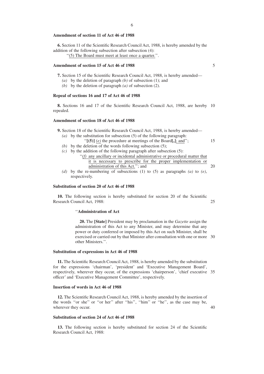#### **Amendment of section 11 of Act 46 of 1988**

**6.** Section 11 of the Scientific Research Council Act, 1988, is hereby amended by the addition of the following subsection after subsection (4):

''(5) The Board must meet at least once a quarter.''.

#### **Amendment of section 15 of Act 46 of 1988**

- **7.** Section 15 of the Scientific Research Council Act, 1988, is hereby amended—
	- *(a)* by the deletion of paragraph *(b)* of subsection (1); and
	- *(b)* by the deletion of paragraph *(a)* of subsection (2).

#### **Repeal of sections 16 and 17 of Act 46 of 1988**

8. Sections 16 and 17 of the Scientific Research Council Act, 1988, are hereby 10 repealed.

#### **Amendment of section 18 of Act 46 of 1988**

**9.** Section 18 of the Scientific Research Council Act, 1988, is hereby amended—

- *(a)* by the substitution for subsection (5) of the following paragraph:
- 15 ''**[(5)]** *(e)* the procedure at meetings of the Board**[,]**; and''; (b) by the deletion of the words following subsection  $(5)$ ;
- $(c)$  by the addition of the following paragraph after subsection (5):
	- 20 ''*(f)* any ancillary or incidental administrative or procedural matter that it is necessary to prescribe for the proper implementation or administration of this Act.''; and
- *(d)* by the re-numbering of subsections (1) to (5) as paragraphs *(a)* to *(e)*, respectively.

#### **Substitution of section 20 of Act 46 of 1988**

25 **10.** The following section is hereby substituted for section 20 of the Scientific Research Council Act, 1988:

## ''**Administration of Act**

exercised or carried out by that Minister after consultation with one or more 30 **20.** The **[State]** President may by proclamation in the *Gazette* assign the administration of this Act to any Minister, and may determine that any power or duty conferred or imposed by this Act on such Minister, shall be other Ministers.''.

#### **Substitution of expressions in Act 46 of 1988**

respectively, wherever they occur, of the expressions 'chairperson', 'chief executive 35 **11.** The Scientific Research Council Act, 1988, is hereby amended by the substitution for the expressions 'chairman', 'president' and 'Executive Management Board', officer' and 'Executive Management Committee', respectively.

#### **Insertion of words in Act 46 of 1988**

**12.** The Scientific Research Council Act, 1988, is hereby amended by the insertion of the words "or she" or "or her" after "his", "him" or "he", as the case may be, wherever they occur.

40

#### **Substitution of section 24 of Act 46 of 1988**

**13.** The following section is hereby substituted for section 24 of the Scientific Research Council Act, 1988: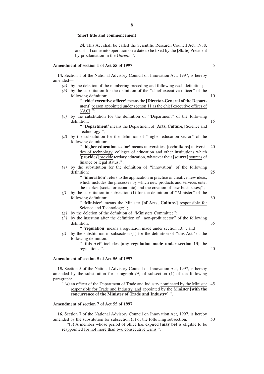#### ''**Short title and commencement**

**24.** This Act shall be called the Scientific Research Council Act, 1988, and shall come into operation on a date to be fixed by the **[State]** President by proclamation in the *Gazette*.''.

#### **Amendment of section 1 of Act 55 of 1997**

**14.** Section 1 of the National Advisory Council on Innovation Act, 1997, is hereby amended—

- *(a)* by the deletion of the numbering preceding and following each definition;
- *(b)* by the substitution for the definition of the ''chief executive officer'' of the following definition:
	- '' **'chief executive officer'** means the **[Director-General of the Department**] person appointed under section 11 as the chief executive officer of NACI;'';
- *(c)* by the substitution for the definition of ''Department'' of the following definition:

'' **'Department'** means the Department of **[Arts, Culture,]** Science and Technology;'';

*(d)* by the substitution for the definition of ''higher education sector'' of the following definition:

20 '' **'higher education sector'** means universities, **[technikons]** universities of technology, colleges of education and other institutions which **[provides]** provide tertiary education, whatever their **[source]** sources of finance or legal status;";

*(e)* by the substitution for the definition of ''innovation'' of the following definition:

> '' **'innovation'** refers to the application in practice of creative new ideas, which includes the processes by which new products and services enter the market (social or economic) and the creation of new businesses;'';

30 *(f)* by the substitution in subsection (1) for the definition of ''Minister'' of the following definition:

> '' **'Minister'** means the Minister **[of Arts, Culture,]** responsible for Science and Technology;";

- *(g)* by the deletion of the definition of ''Ministers Committee'';
- 35 *(h)* by the insertion after the definition of ''non-profit sector'' of the following definition:

'' **'regulation'** means a regulation made under section 13;''; and

*(i)* by the substitution in subsection (1) for the definition of ''this Act'' of the following definition:

> 40 '' **'this Act'** includes **[any regulation made under section 13]** the regulations.''.

## **Amendment of section 5 of Act 55 of 1997**

**15.** Section 5 of the National Advisory Council on Innovation Act, 1997, is hereby amended by the substitution for paragraph *(d)* of subsection (1) of the following paragraph:

"(d) an officer of the Department of Trade and Industry nominated by the Minister 45 responsible for Trade and Industry, and appointed by the Minister **[with the concurrence of the Minister of Trade and Industry]**.''.

## **Amendment of section 7 of Act 55 of 1997**

50 **16.** Section 7 of the National Advisory Council on Innovation Act, 1997, is hereby amended by the substitution for subsection (3) of the following subsection:

''(3) A member whose period of office has expired **[may be]** is eligible to be reappointed for not more than two consecutive terms.''.

5

10

15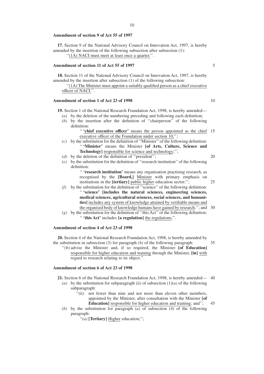#### **Amendment of section 9 of Act 55 of 1997**

**17.** Section 9 of the National Advisory Council on Innovation Act, 1997, is hereby amended by the insertion of the following subsection after subsection (1):

"(1A) NACI must meet at least once a quarter.".

#### **Amendment of section 11 of Act 55 of 1997**

**18.** Section 11 of the National Advisory Council on Innovation Act, 1997, is hereby amended by the insertion after subsection (1) of the following subsection:

''(1A) The Minister must appoint a suitably qualified person as a chief executive officer of NACI.''.

#### **Amendment of section 1 of Act 23 of 1998**

**19.** Section 1 of the National Research Foundation Act, 1998, is hereby amended—

- *(a)* by the deletion of the numbering preceding and following each definition;
- *(b)* by the insertion after the definition of ''chairperson'' of the following definition:
	- "**'chief executive** officer' means the person appointed as the chief 15 executive officer of the Foundation under section 10;'';
- *(c)* by the substitution for the definition of ''Minister'' of the following definition: '' **'Minister'** means the Minister **[of Arts, Culture, Science and Technology]** responsible for science and technology;'';
- *(d)* by the deletion of the definition of "president";
- *(e)* by the substitution for the definition of ''research institution'' of the following definition:

'' **'research institution'** means any organisation practising research, as recognised by the **[Board,]** Minister with primary emphasis on institutions in the **[tertiary]** public higher education sector;'';

- the organised body of knowledge humans have gained by research;"; and 30  $(f)$  by the substitution for the definition of "science" of the following definition: '' **'science' [includes the natural sciences, engineering sciences, medical sciences, agricultural sciences, social sciences, and humanities]** includes any system of knowledge attained by verifiable means and
- *(g)* by the substitution for the definition of ''this Act'' of the following definition: '' **'this Act'** includes **[a regulation]** the regulations;''.

## **Amendment of section 4 of Act 23 of 1998**

**20.** Section 4 of the National Research Foundation Act, 1998, is hereby amended by the substitution in subsection (3) for paragraph *(b)* of the following paragraph:

''*(b)* advise the Minister and, if so required, the Minister **[of Education]** responsible for higher education and training through the Minister, **[in]** with regard to research relating to its object.''.

#### **Amendment of section 6 of Act 23 of 1998**

**21.** Section 6 of the National Research Foundation Act, 1998, is hereby amended— 40

- (a) by the substitution for subparagraph (ii) of subsection  $(1)(a)$  of the following subparagraph:
	- "(ii) not fewer than nine and not more than eleven other members, appointed by the Minister, after consultation with the Minister **[of Education]** responsible for higher education and training; and'';
- 45 *(b)* by the substitution for paragraph *(a)* of subsection (4) of the following paragraph:

''*(a)* **[Tertiary]** Higher education;'';

5

10

20

25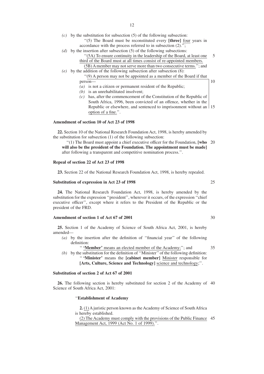- *(c)* by the substitution for subsection (5) of the following subsection:
	- ''(5) The Board must be reconstituted every **[three]** four years in accordance with the process referred to in subsection (2).'';
- $(d)$  by the insertion after subsection (5) of the following subsections:
	- 5 ''(5A) To ensure continuity in the leadership of the Board, at least one third of the Board must at all times consist of re-appointed members. (5B)Amember may not serve more than two consecutive terms.''; and
- $(e)$  by the addition of the following subsection after subsection  $(8)$ : ''(9) A person may not be appointed as a member of the Board if that
	- person—  $\overline{a}$  is not a citizen or permanent resident of the Republic;
	- *(b)* is an unrehabilitated insolvent;
	- Republic or elsewhere, and sentenced to imprisonment without an 15 *(c)* has, after the commencement of the Constitution of the Republic of South Africa, 1996, been convicted of an offence, whether in the option of a fine.''.

#### **Amendment of section 10 of Act 23 of 1998**

**22.** Section 10 of the National Research Foundation Act, 1998, is hereby amended by the substitution for subsection (1) of the following subsection:

"(1) The Board must appoint a chief executive officer for the Foundation, [who 20 **will also be the president of the Foundation. The appointment must be made]** after following a transparent and competitive nomination process.''.

## **Repeal of section 22 of Act 23 of 1998**

**23.** Section 22 of the National Research Foundation Act, 1998, is hereby repealed.

## **Substitution of expression in Act 23 of 1998**

**24.** The National Research Foundation Act, 1998, is hereby amended by the substitution for the expression ''president'', wherever it occurs, of the expression ''chief executive officer'', except where it refers to the President of the Republic or the president of the FRD.

## **Amendment of section 1 of Act 67 of 2001**

**25.** Section 1 of the Academy of Science of South Africa Act, 2001, is hereby amended—

- *(a)* by the insertion after the definition of ''financial year'' of the following definition:
	- '' **'Member'** means an elected member of the Academy;''; and
- $(b)$  by the substitution for the definition of "Minister" of the following definition: '' **'Minister'** means the **[cabinet member]** Minister responsible for **[Arts, Culture, Science and Technology]** science and technology;''.

#### **Substitution of section 2 of Act 67 of 2001**

**26.** The following section is hereby substituted for section 2 of the Academy of 40 Science of South Africa Act, 2001:

''**Establishment of Academy**

**2.** (1) A juristic person known as the Academy of Science of South Africa is hereby established.

45 (2) The Academy must comply with the provisions of the Public Finance Management Act, 1999 (Act No. 1 of 1999).''.

30

35

25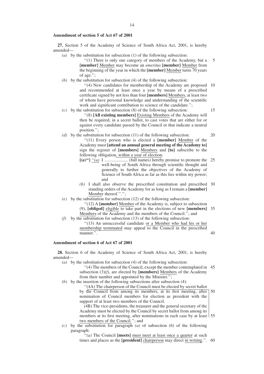## **Amendment of section 5 of Act 67 of 2001**

**27.** Section 5 of the Academy of Science of South Africa Act, 2001, is hereby amended—

- *(a)* by the substitution for subsection (1) of the following subsection:
	- ''(1) There is only one category of members of the Academy, but a **[member]** Member may become an *emeritus* **[member]** Member from the beginning of the year in which the **[member]** Member turns 70 years of age.'';
- $(b)$  by the substitution for subsection  $(4)$  of the following subsection:

"(4) New candidates for membership of the Academy are proposed 10 15 and recommended at least once a year by means of a prescribed certificate signed by not less than four **[members]** Members, at least two of whom have personal knowledge and understanding of the scientific work and significant contribution to science of the candidate.";

- $(c)$  by the substitution for subsection  $(8)$  of the following subsection: ''(8) **[All existing members]** Existing Members of the Academy will then be required, in a secret ballot, to cast votes that are either for or against every candidate passed by the Council or that indicate a neutral position.'';
- *(d)* by the substitution for subsection (11) of the following subsection: ''(11) Every person who is elected a **[member]** Member of the Academy must **[attend an annual general meeting of the Academy to]** sign the register of **[members]** Members and **[to]** subscribe to the following obligation, within a year of election:
	- 25 **[***(a)***'']** ''*(a)* I ..................... (full names) hereby promise to promote the well-being of South Africa through scientific thought and generally to further the objectives of the Academy of Science of South Africa as far as this lies within my power; and
	- 30 *(b)* I shall also observe the prescribed constitution and prescribed standing orders of the Academy for as long as I remain a **[member]** Member thereof.''.'';
- $(e)$  by the substitution for subsection  $(12)$  of the following subsection:
	- ''(12) A **[member]** Member of the Academy is, subject to subsection
	- 35 (9), **[obliged]** eligible to take part in the elections of new **[members]** Members of the Academy and the members of the Council.''; and
- $(f)$  by the substitution for subsection (13) of the following subsection: ''(13) An unsuccessful candidate or a Member who had his or her membership terminated may appeal to the Council in the prescribed manner.''.

#### **Amendment of section 6 of Act 67 of 2001**

**28.** Section 6 of the Academy of Science of South Africa Act, 2001, is hereby amended—

*(a)* by the substitution for subsection (4) of the following subsection:

"(4) The members of the Council, except the member contemplated in 45 subsection (3)*(f)*, are elected by **[members]** Members of the Academy from their number and appointed by the Minister.";

 $(b)$  by the insertion of the following subsections after subsection (4):

50 ''(4A) The chairperson of the Council must be elected by secret ballot by the Council from among its members, at its first meeting, after nomination of Council members for election as president with the support of at least two members of the Council.

members at its first meeting, after nominations in each case by at least 155 (4B) The vice-presidents, the treasurer and the general secretary of the Academy must be elected by the Council by secret ballot from among its two members of the Council.''; and

*(c)* by the substitution for paragraph *(a)* of subsection (6) of the following paragraph:

> times and places as the [president] chairperson may direct in writing.". 60 ''*(a)* The Council **[meets]** must meet at least once a quarter at such

20

40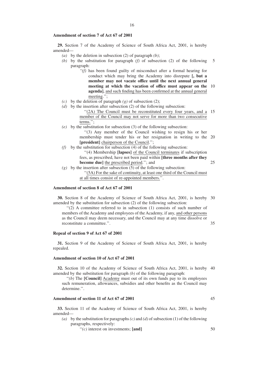## **Amendment of section 7 of Act 67 of 2001**

**29.** Section 7 of the Academy of Science of South Africa Act, 2001, is hereby amended—

- *(a)* by the deletion in subsection (2) of paragraph *(b)*;
- *(b)* by the substitution for paragraph *(f)* of subsection (2) of the following paragraph: 5
	- 10 **meeting at which the vacation of office must appear on the** *''(f)* has been found guilty of misconduct after a formal hearing for conduct which may bring the Academy into disrepute **[, but a member may not vacate office until the next annual general agenda]**, and such finding has been confirmed at the annual general meeting.'';
- *(c)* by the deletion of paragraph  $(g)$  of subsection (2);
- *(d)* by the insertion after subsection (2) of the following subsection:

"(2A) The Council must be reconstituted every four years, and a 15 member of the Council may not serve for more than two consecutive terms.'';

- $(e)$  by the substitution for subsection (3) of the following subsection:
	- membership must tender his or her resignation in writing to the 20 ''(3) Any member of the Council wishing to resign his or her **[president]** chairperson of the Council.'';
- $(f)$  by the substitution for subsection (4) of the following subsection: ''(4) Membership **[lapses]** of the Council terminates if subscription fees, as prescribed, have not been paid within **[three months after they become due]** the prescribed period.''; and 25
- $(g)$  by the insertion after subsection (5) of the following subsection: ''(5A) For the sake of continuity, at least one third of the Council must

at all times consist of re-appointed members.''.

## **Amendment of section 8 of Act 67 of 2001**

30 **30.** Section 8 of the Academy of Science of South Africa Act, 2001, is hereby amended by the substitution for subsection (2) of the following subsection:

''(2) A committee referred to in subsection (1) consists of such number of members of the Academy and employees of the Academy, if any, and other persons as the Council may deem necessary, and the Council may at any time dissolve or reconstitute a committee.''.

35

#### **Repeal of section 9 of Act 67 of 2001**

**31.** Section 9 of the Academy of Science of South Africa Act, 2001, is hereby repealed.

## **Amendment of section 10 of Act 67 of 2001**

**32.** Section 10 of the Academy of Science of South Africa Act, 2001, is hereby 40 amended by the substitution for paragraph *(b)* of the following paragraph:

"(b) The **[Council]** Academy must out of its own funds pay to its employees such remuneration, allowances, subsidies and other benefits as the Council may determine.''.

## **Amendment of section 11 of Act 67 of 2001**

**33.** Section 11 of the Academy of Science of South Africa Act, 2001, is hereby amended—

(a) by the substitution for paragraphs  $(c)$  and  $(d)$  of subsection (1) of the following paragraphs, respectively:

''*(c)* interest on investments; **[and]**

50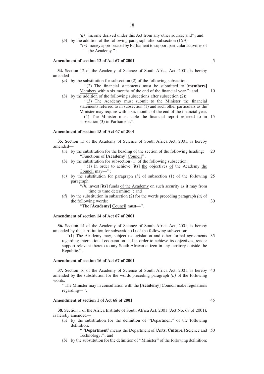*(d)* income derived under this Act from any other source; and''; and *(b)* by the addition of the following paragraph after subsection  $(1)(d)$ :

''*(e)* money appropriated by Parliament to support particular activities of the Academy.''.

## **Amendment of section 12 of Act 67 of 2001**

**34.** Section 12 of the Academy of Science of South Africa Act, 2001, is hereby amended—

*(a)* by the substitution for subsection (2) of the following subsection:

10 ''(2) The financial statements must be submitted to **[members]** Members within six months of the end of the financial year.''; and

*(b)* by the addition of the following subsections after subsection (2):

(4) The Minister must table the financial report referred to in  $\frac{15}{15}$ ''(3) The Academy must submit to the Minister the financial statements referred to in subsection (1) and such other particulars as the Minister may require within six months of the end of the financial year. subsection (3) in Parliament.''.

## **Amendment of section 13 of Act 67 of 2001**

**35.** Section 13 of the Academy of Science of South Africa Act, 2001, is hereby amended—

- 20 *(a)* by the substitution for the heading of the section of the following heading: ''Functions of **[Academy]** Council'';
- $(b)$  by the substitution for subsection  $(1)$  of the following subsection:
	- ''(1) In order to achieve **[its]** the objectives of the Academy the Council may—'';
- $(c)$  by the substitution for paragraph  $(h)$  of subsection  $(1)$  of the following 25 paragraph:

"(h) invest [its] funds of the Academy on such security as it may from time to time determine;"; and

30 *(d)* by the substitution in subsection (2) for the words preceding paragraph *(a)* of the following words:

''The **[Academy]** Council must—''.

#### **Amendment of section 14 of Act 67 of 2001**

**36.** Section 14 of the Academy of Science of South Africa Act, 2001, is hereby amended by the substitution for subsection (1) of the following subsection:

"(1) The Academy may, subject to legislation and other formal agreements 35 regarding international cooperation and in order to achieve its objectives, render support relevant thereto to any South African citizen in any territory outside the Republic.''.

## **Amendment of section 16 of Act 67 of 2001**

**37.** Section 16 of the Academy of Science of South Africa Act, 2001, is hereby 40 amended by the substitution for the words preceding paragraph *(a)* of the following words:

''The Minister may in consultation with the **[Academy]** Council make regulations regarding—''.

#### **Amendment of section 1 of Act 68 of 2001**

**38.** Section 1 of the Africa Institute of South Africa Act, 2001 (Act No. 68 of 2001), is hereby amended—

*(a)* by the substitution for the definition of ''Department'' of the following definition:

#### " 'Department' means the Department of [Arts, Culture,] Science and 50 Technology;''; and

*(b)* by the substitution for the definition of ''Minister'' of the following definition:

5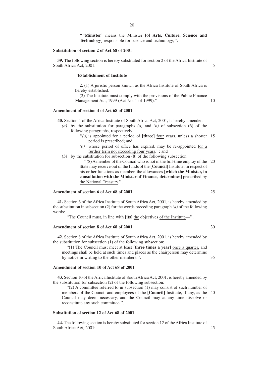'' **'Minister'** means the Minister **[of Arts, Culture, Science and Technology]** responsible for science and technology;''.

## **Substitution of section 2 of Act 68 of 2001**

**39.** The following section is hereby substituted for section 2 of the Africa Institute of South Africa Act, 2001:

## ''**Establishment of Institute**

**2.** (1) A juristic person known as the Africa Institute of South Africa is hereby established.

(2) The Institute must comply with the provisions of the Public Finance Management Act, 1999 (Act No. 1 of 1999).''.

#### **Amendment of section 4 of Act 68 of 2001**

**40.** Section 4 of the Africa Institute of South Africa Act, 2001, is hereby amended—

- *(a)* by the substitution for paragraphs *(a)* and *(b)* of subsection (6) of the following paragraphs, respectively:
	- "(a) is appointed for a period of [three] four years, unless a shorter 15 period is prescribed; and
	- *(b)* whose period of office has expired, may be re-appointed for a further term not exceeding four years.''; and
- (b) by the substitution for subsection  $(8)$  of the following subsection:
	- "(8) A member of the Council who is not in the full-time employ of the 20 State may receive out of the funds of the **[Council]** Institute, in respect of his or her functions as member, the allowances **[which the Minister, in consultation with the Minister of Finance, determines]** prescribed by the National Treasury.''.

#### **Amendment of section 6 of Act 68 of 2001**

**41.** Section 6 of the Africa Institute of South Africa Act, 2001, is hereby amended by the substitution in subsection (2) for the words preceding paragraph *(a)* of the following words:

''The Council must, in line with **[its]** the objectives of the Institute—''.

## **Amendment of section 8 of Act 68 of 2001**

**42.** Section 8 of the Africa Institute of South Africa Act, 2001, is hereby amended by the substitution for subsection (1) of the following subsection:

''(1) The Council must meet at least **[three times a year]** once a quarter, and meetings shall be held at such times and places as the chairperson may determine by notice in writing to the other members.''.

## **Amendment of section 10 of Act 68 of 2001**

**43.** Section 10 of the Africa Institute of South Africa Act, 2001, is hereby amended by the substitution for subsection (2) of the following subsection:

members of the Council and employees of the [Council] Institute, if any, as the 40  $''(2)$  A committee referred to in subsection  $(1)$  may consist of such number of Council may deem necessary, and the Council may at any time dissolve or reconstitute any such committee.''.

## **Substitution of section 12 of Act 68 of 2001**

**44.** The following section is hereby substituted for section 12 of the Africa Institute of South Africa Act, 2001:

25

5

10

30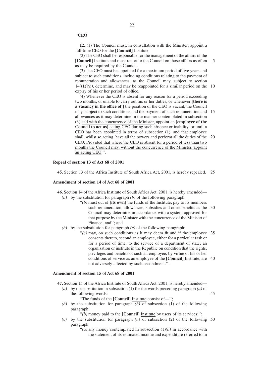''**CEO**

**12.** (1) The Council must, in consultation with the Minister, appoint a full-time CEO for the **[Council]** Institute.

5 (2) The CEO shall be responsible for the management of the affairs of the **[Council]** Institute and must report to the Council on those affairs as often as may be required by the Council.

 $14[(1)](b)$ , determine, and may be reappointed for a similar period on the 10 (3) The CEO must be appointed for a maximum period of five years and subject to such conditions, including conditions relating to the payment of remuneration and allowances, as the Council may, subject to section expiry of his or her period of office.

may, subject to such conditions and the payment of such remuneration and 15 shall, whilst so acting, have all the powers and perform all the duties of the 20 (4) Whenever the CEO is absent for any reason for a period exceeding two months, or unable to carry out his or her duties, or whenever **[there is a vacancy in the office of ]** the position of the CEO is vacant, the Council allowances as it may determine in the manner contemplated in subsection (3) and with the concurrence of the Minister, appoint an **[employee of the Council to act as]** acting CEO during such absence or inability, or until a CEO has been appointed in terms of subsection (1), and that employee CEO: Provided that where the CEO is absent for a period of less than two months the Council may, without the concurrence of the Minister, appoint an acting CEO.''.

## **Repeal of section 13 of Act 68 of 2001**

25 **45.** Section 13 of the Africa Institute of South Africa Act, 2001, is hereby repealed.

## **Amendment of section 14 of Act 68 of 2001**

**46.** Section 14 of the Africa Institute of South Africa Act, 2001, is hereby amended— *(a)* by the substitution for paragraph *(b)* of the following paragraph:

- such remuneration, allowances, subsidies and other benefits as the 30 ''*(b)* must out of **[its own]** the funds of the Institute, pay to its members Council may determine in accordance with a system approved for that purpose by the Minister with the concurrence of the Minister of Finance; and"; and
- *(b)* by the substitution for paragraph *(c)* of the following paragraph:
	- $'(c)$  may, on such conditions as it may deem fit and if the employee 35 conditions of service as an employee of the **[Council]** Institute, are 40 consents thereto, second an employee, either for a particular task or for a period of time, to the service of a department of state, an organisation or institute in the Republic on condition that the rights, privileges and benefits of such an employee, by virtue of his or her not adversely affected by such secondment.''.

45

#### **Amendment of section 15 of Act 68 of 2001**

**47.** Section 15 of the Africa Institute of South Africa Act, 2001, is hereby amended—

- *(a)* by the substitution in subsection (1) for the words preceding paragraph *(a)* of the following words: ''The funds of the **[Council]** Institute consist of—'';
- *(b)* by the substitution for paragraph *(b)* of subsection (1) of the following paragraph:

''*(b)* money paid to the **[Council]** Institute by users of its services;'';

- $(c)$  by the substitution for paragraph  $(a)$  of subsection  $(2)$  of the following 50 paragraph:
	- $\cdot$ <sup>'</sup> $(a)$  any money contemplated in subsection (1)*(a)* in accordance with the statement of its estimated income and expenditure referred to in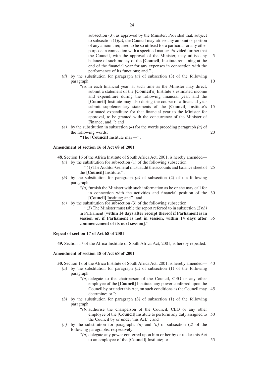5 subsection (3), as approved by the Minister: Provided that, subject to subsection  $(1)(a)$ , the Council may utilise any amount or portion of any amount required to be so utilised for a particular or any other purpose in connection with a specified matter: Provided further that the Council, with the approval of the Minister, may utilise any balance of such money of the **[Council]** Institute remaining at the end of the financial year for any expenses in connection with the performance of its functions; and.'';

- *(d)* by the substitution for paragraph *(a)* of subsection (3) of the following paragraph:
	- $''(a)$  in each financial year, at such time as the Minister may direct, submit a statement of the **[Council's]** Institute's estimated income and expenditure during the following financial year, and the **[Council]** Institute may also during the course of a financial year submit supplementary statements of the **[Council]** Institute's 15 estimated expenditure for that financial year to the Minister for approval, to be granted with the concurrence of the Minister of Finance; and.''; and
- 20 *(e)* by the substitution in subsection (4) for the words preceding paragraph *(a)* of the following words:

''The **[Council]** Institute may—''.

## **Amendment of section 16 of Act 68 of 2001**

**48.** Section 16 of the Africa Institute of South Africa Act, 2001, is hereby amended—

- *(a)* by the substitution for subsection (1) of the following subsection:
	- "(1) The Auditor-General must audit the accounts and balance sheet of 25 the **[Council]** Institute.'';
- *(b)* by the substitution for paragraph *(a)* of subsection (2) of the following paragraph:
	- in connection with the activities and financial position of the 30 ''*(a)* furnish the Minister with such information as he or she may call for **[Council]** Institute; and''; and
- $(c)$  by the substitution for subsection (3) of the following subsection:
	- ''(3) The Minister must table the report referred to in subsection (2)*(b)* in Parliament **[within 14 days after receipt thereof if Parliament is in session or, if Parliament is not in session, within 14 days after** 35 **commencement of its next session]**.''.

#### **Repeal of section 17 of Act 68 of 2001**

**49.** Section 17 of the Africa Institute of South Africa Act, 2001, is hereby repealed.

#### **Amendment of section 18 of Act 68 of 2001**

**50.** Section 18 of the Africa Institute of South Africa Act, 2001, is hereby amended— 40

- *(a)* by the substitution for paragraph *(a)* of subsection (1) of the following paragraph:
	- "(*a*) delegate to the chairperson of the Council, CEO or any other employee of the **[Council]** Institute, any power conferred upon the Council by or under this Act, on such conditions as the Council may 45 determine; or'';
- *(b)* by the substitution for paragraph (*b)* of subsection (1) of the following paragraph:
	- employee of the **[Council]** Institute to perform any duty assigned to 50 ''*(b)* authorise the chairperson of the Council, CEO or any other the Council by or under this Act.''; and
- *(c)* by the substitution for paragraphs *(a)* and *(b)* of subsection (2) of the following paragraphs, respectively:
	- ''*(a)* delegate any power conferred upon him or her by or under this Act to an employee of the **[Council]** Institute; or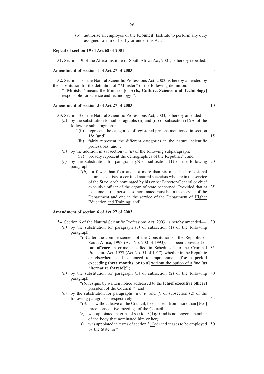(b) authorise an employee of the **[Council]** Institute to perform any duty assigned to him or her by or under this Act.''.

#### **Repeal of section 19 of Act 68 of 2001**

**51.** Section 19 of the Africa Institute of South Africa Act, 2001, is hereby repealed.

## **Amendment of section 1 of Act 27 of 2003**

**52.** Section 1 of the Natural Scientific Professions Act, 2003, is hereby amended by the substitution for the definition of ''Minister'' of the following definition:

'' **'Minister'** means the Minister **[of Arts, Culture, Science and Technology]** responsible for science and technology;''.

## **Amendment of section 3 of Act 27 of 2003**

**53.** Section 3 of the Natural Scientific Professions Act, 2003, is hereby amended—

- *(a)* by the substitution for subparagraphs *(ii)* and *(iii)* of subsection  $(1)(a)$  of the following subparagraphs:
	- ''(ii) represent the categories of registered persons mentioned in section 18; **[and]**
	- (iii) fairly represent the different categories in the natural scientific professions; and'';
- *(b)* by the addition in subsection  $(1)(a)$  of the following subparagraph: ''(iv) broadly represent the demographics of the Republic.''; and
- $(c)$  by the substitution for paragraph  $(b)$  of subsection  $(1)$  of the following 20 paragraph:
	- executive officer of the organ of state concerned: Provided that at 25  $''(b)$  not fewer than four and not more than six must be professional natural scientists or certified natural scientists who are in the service of the State, each nominated by his or her Director-General or chief least one of the persons so nominated must be in the service of the Department and one in the service of the Department of Higher Education and Training; and''.

## **Amendment of section 6 of Act 27 of 2003**

- 30 **54.** Section 6 of the Natural Scientific Professions Act, 2003, is hereby amended—
	- *(a)* by the substitution for paragraph *(c)* of subsection (1) of the following paragraph:
		- 35 **[an offence]** a crime specified in Schedule 1 to the Criminal  $f'(c)$  after the commencement of the Constitution of the Republic of South Africa, 1993 (Act No. 200 of 1993), has been convicted of Procedure Act, 1977 (Act No. 51 of 1977), whether in the Republic or elsewhere, and sentenced to imprisonment **[for a period exceeding three months, or to a]** without the option of a fine **[as alternative thereto]**;'';
	- $(b)$  by the substitution for paragraph  $(b)$  of subsection  $(2)$  of the following 40 paragraph:
		- ''*(b)* resigns by written notice addressed to the **[chief executive officer]** president of the Council;''; and
	- *(c)* by the substitution for paragraphs *(d)*, *(e)* and *(f)* of subsection (2) of the following paragraphs, respectively:
		- ''*(d)* has without leave of the Council, been absent from more than **[two]** three consecutive meetings of the Council;
		- $(e)$  was appointed in terms of section  $3(1)(a)$  and is no longer a member of the body that nominated him or her;
		- (f) was appointed in terms of section  $3(1)(b)$  and ceases to be employed 50 by the State; or''.

5

10

15